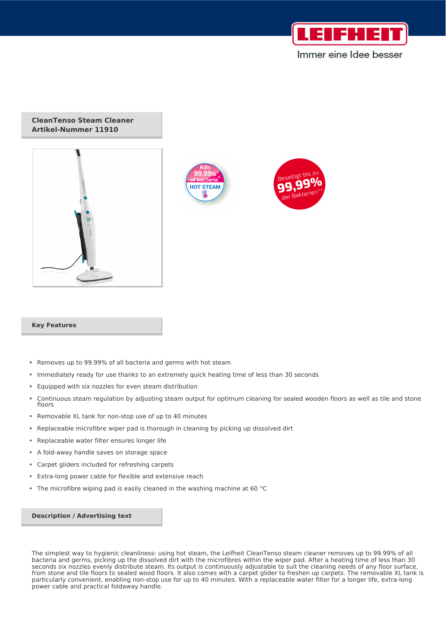

# Immer eine Idee besser

### **CleanTenso Steam Cleaner Artikel-Nummer 11910**







#### **Key Features**

- Removes up to 99.99% of all bacteria and germs with hot steam
- Immediately ready for use thanks to an extremely quick heating time of less than 30 seconds
- Equipped with six nozzles for even steam distribution
- Continuous steam regulation by adjusting steam output for optimum cleaning for sealed wooden floors as well as tile and stone floors
- Removable XL tank for non-stop use of up to 40 minutes
- Replaceable microfibre wiper pad is thorough in cleaning by picking up dissolved dirt
- Replaceable water filter ensures longer life
- A fold-away handle saves on storage space
- Carpet gliders included for refreshing carpets
- Extra-long power cable for flexible and extensive reach
- The microfibre wiping pad is easily cleaned in the washing machine at 60 °C

#### **Description / Advertising text**

The simplest way to hygienic cleanliness: using hot steam, the Leifheit CleanTenso steam cleaner removes up to 99.99% of all bacteria and germs, picking up the dissolved dirt with the microfibres within the wiper pad. After a heating time of less than 30 seconds six nozzles evenly distribute steam. Its output is continuously adjustable to suit the cleaning needs of any floor surface, from stone and tile floors to sealed wood floors. It also comes with a carpet glider to freshen up carpets. The removable XL tank is particularly convenient, enabling non-stop use for up to 40 minutes. With a replaceable water filter for a longer life, extra-long power cable and practical foldaway handle.